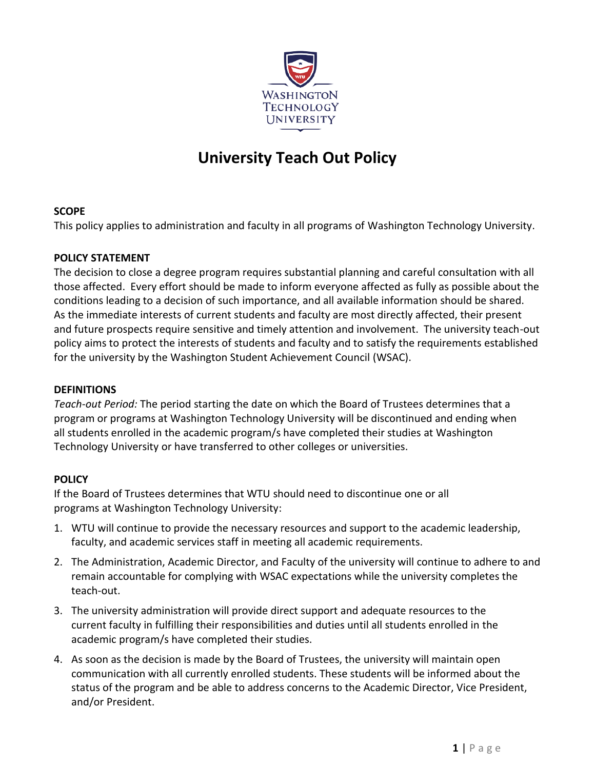

# **University Teach Out Policy**

### **SCOPE**

This policy applies to administration and faculty in all programs of Washington Technology University.

### **POLICY STATEMENT**

The decision to close a degree program requires substantial planning and careful consultation with all those affected. Every effort should be made to inform everyone affected as fully as possible about the conditions leading to a decision of such importance, and all available information should be shared. As the immediate interests of current students and faculty are most directly affected, their present and future prospects require sensitive and timely attention and involvement. The university teach-out policy aims to protect the interests of students and faculty and to satisfy the requirements established for the university by the Washington Student Achievement Council (WSAC).

#### **DEFINITIONS**

*Teach-out Period:* The period starting the date on which the Board of Trustees determines that a program or programs at Washington Technology University will be discontinued and ending when all students enrolled in the academic program/s have completed their studies at Washington Technology University or have transferred to other colleges or universities.

## **POLICY**

If the Board of Trustees determines that WTU should need to discontinue one or all programs at Washington Technology University:

- 1. WTU will continue to provide the necessary resources and support to the academic leadership, faculty, and academic services staff in meeting all academic requirements.
- 2. The Administration, Academic Director, and Faculty of the university will continue to adhere to and remain accountable for complying with WSAC expectations while the university completes the teach-out.
- 3. The university administration will provide direct support and adequate resources to the current faculty in fulfilling their responsibilities and duties until all students enrolled in the academic program/s have completed their studies.
- 4. As soon as the decision is made by the Board of Trustees, the university will maintain open communication with all currently enrolled students. These students will be informed about the status of the program and be able to address concerns to the Academic Director, Vice President, and/or President.